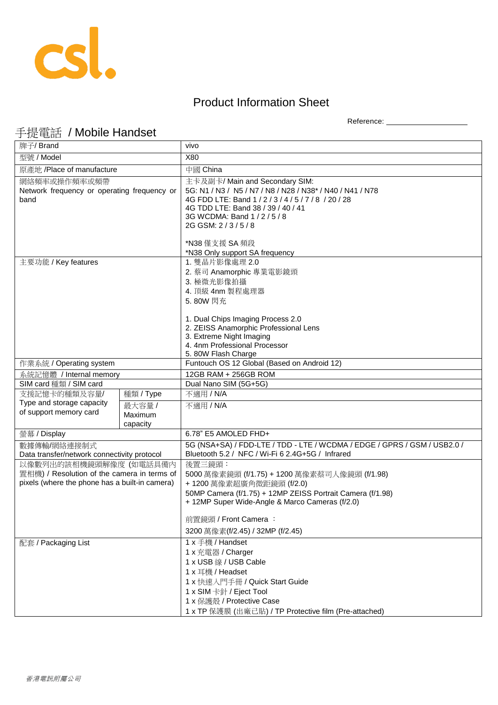

## Product Information Sheet

Reference: \_\_\_\_\_\_\_\_\_\_\_\_\_\_\_\_\_\_\_\_

## 手提電話 / Mobile Handset

| 牌子/ Brand                                                                                                               |                               | vivo                                                                                                                                                                                                                                         |
|-------------------------------------------------------------------------------------------------------------------------|-------------------------------|----------------------------------------------------------------------------------------------------------------------------------------------------------------------------------------------------------------------------------------------|
| 型號 / Model                                                                                                              |                               | X80                                                                                                                                                                                                                                          |
| 原產地 /Place of manufacture                                                                                               |                               | 中國 China                                                                                                                                                                                                                                     |
| 網絡頻率或操作頻率或頻帶<br>Network frequency or operating frequency or<br>band                                                     |                               | 主卡及副卡/ Main and Secondary SIM:<br>5G: N1 / N3 / N5 / N7 / N8 / N28 / N38* / N40 / N41 / N78<br>4G FDD LTE: Band 1 / 2 / 3 / 4 / 5 / 7 / 8 / 20 / 28<br>4G TDD LTE: Band 38 / 39 / 40 / 41<br>3G WCDMA: Band 1 / 2 / 5 / 8<br>2G GSM: 2/3/5/8 |
|                                                                                                                         |                               | *N38 僅支援 SA 頻段<br>*N38 Only support SA frequency                                                                                                                                                                                             |
| 主要功能 / Key features                                                                                                     |                               | 1. 雙晶片影像處理 2.0<br>2. 蔡司 Anamorphic 專業電影鏡頭<br>3. 極微光影像拍攝<br>4. 頂級 4nm 製程處理器<br>5.80W 閃充                                                                                                                                                       |
|                                                                                                                         |                               | 1. Dual Chips Imaging Process 2.0<br>2. ZEISS Anamorphic Professional Lens<br>3. Extreme Night Imaging<br>4. 4nm Professional Processor<br>5. 80W Flash Charge                                                                               |
| 作業系統 / Operating system                                                                                                 |                               | Funtouch OS 12 Global (Based on Android 12)                                                                                                                                                                                                  |
| 系統記憶體 / Internal memory                                                                                                 |                               | 12GB RAM + 256GB ROM                                                                                                                                                                                                                         |
| SIM card 種類 / SIM card                                                                                                  |                               | Dual Nano SIM (5G+5G)                                                                                                                                                                                                                        |
| 支援記憶卡的種類及容量/                                                                                                            | 種類 / Type                     | 不適用 / N/A                                                                                                                                                                                                                                    |
| Type and storage capacity<br>of support memory card                                                                     | 最大容量 /<br>Maximum<br>capacity | 不適用 / N/A                                                                                                                                                                                                                                    |
| 螢幕 / Display                                                                                                            |                               | 6.78" E5 AMOLED FHD+                                                                                                                                                                                                                         |
| 數據傳輸/網絡連接制式<br>Data transfer/network connectivity protocol                                                              |                               | 5G (NSA+SA) / FDD-LTE / TDD - LTE / WCDMA / EDGE / GPRS / GSM / USB2.0 /<br>Bluetooth 5.2 / NFC / Wi-Fi 6 2.4G+5G / Infrared                                                                                                                 |
| 以像數列出的該相機鏡頭解像度 (如電話具備內<br>置相機) / Resolution of the camera in terms of<br>pixels (where the phone has a built-in camera) |                               | 後置三鏡頭:<br>5000 萬像素鏡頭 (f/1.75) + 1200 萬像素蔡司人像鏡頭 (f/1.98)<br>+ 1200 萬像素超廣角微距鏡頭 (f/2.0)<br>50MP Camera (f/1.75) + 12MP ZEISS Portrait Camera (f/1.98)<br>+ 12MP Super Wide-Angle & Marco Cameras (f/2.0)<br>前置鏡頭 / Front Camera:                |
|                                                                                                                         |                               | 3200 萬像素(f/2.45) / 32MP (f/2.45)                                                                                                                                                                                                             |
| 配套 / Packaging List                                                                                                     |                               | 1 x 手機 / Handset<br>1 x 充電器 / Charger<br>1 x USB 線 / USB Cable<br>1 x 耳機 / Headset<br>1 x 快速入門手冊 / Quick Start Guide<br>1 x SIM 卡針 / Eject Tool<br>1 x 保護殼 / Protective Case<br>1 x TP 保護膜 (出廠已貼) / TP Protective film (Pre-attached)        |